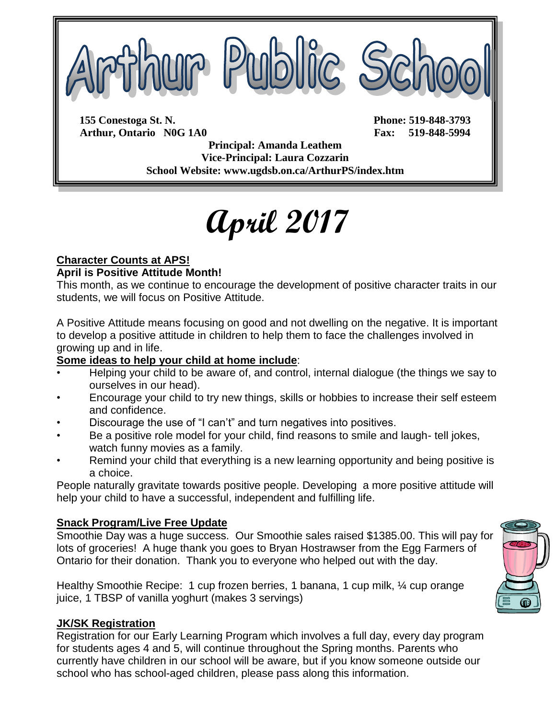

**155 Conestoga St. N. Phone: 519-848-3793 Arthur, Ontario N0G 1A0 Fax: 519-848-5994**

**Principal: Amanda Leathem Vice-Principal: Laura Cozzarin School Website: www.ugdsb.on.ca/ArthurPS/index.htm**

# **April 2017**

#### **Character Counts at APS! April is Positive Attitude Month!**

This month, as we continue to encourage the development of positive character traits in our students, we will focus on Positive Attitude.

A Positive Attitude means focusing on good and not dwelling on the negative. It is important to develop a positive attitude in children to help them to face the challenges involved in growing up and in life.

#### **Some ideas to help your child at home include**:

- Helping your child to be aware of, and control, internal dialogue (the things we say to ourselves in our head).
- Encourage your child to try new things, skills or hobbies to increase their self esteem and confidence.
- Discourage the use of "I can't" and turn negatives into positives.
- Be a positive role model for your child, find reasons to smile and laugh- tell jokes, watch funny movies as a family.
- Remind your child that everything is a new learning opportunity and being positive is a choice.

People naturally gravitate towards positive people. Developing a more positive attitude will help your child to have a successful, independent and fulfilling life.

#### **Snack Program/Live Free Update**

Smoothie Day was a huge success. Our Smoothie sales raised \$1385.00. This will pay for lots of groceries! A huge thank you goes to Bryan Hostrawser from the Egg Farmers of Ontario for their donation. Thank you to everyone who helped out with the day.

Healthy Smoothie Recipe: 1 cup frozen berries, 1 banana, 1 cup milk, ¼ cup orange juice, 1 TBSP of vanilla yoghurt (makes 3 servings)

#### **JK/SK Registration**

Registration for our Early Learning Program which involves a full day, every day program for students ages 4 and 5, will continue throughout the Spring months. Parents who currently have children in our school will be aware, but if you know someone outside our school who has school-aged children, please pass along this information.

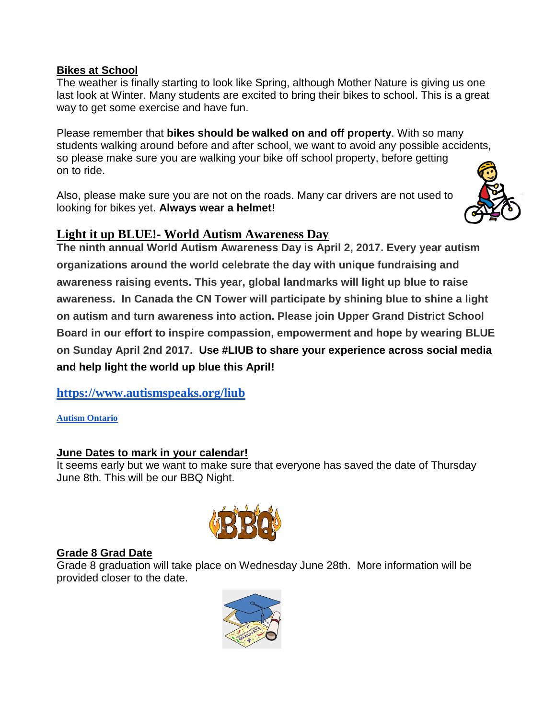#### **Bikes at School**

The weather is finally starting to look like Spring, although Mother Nature is giving us one last look at Winter. Many students are excited to bring their bikes to school. This is a great way to get some exercise and have fun.

Please remember that **bikes should be walked on and off property**. With so many students walking around before and after school, we want to avoid any possible accidents, so please make sure you are walking your bike off school property, before getting on to ride.

Also, please make sure you are not on the roads. Many car drivers are not used to looking for bikes yet. **Always wear a helmet!**



#### **Light it up BLUE!- World Autism Awareness Day**

**The ninth annual World Autism Awareness Day is April 2, 2017. Every year autism organizations around the world celebrate the day with unique fundraising and awareness raising events. This year, global landmarks will light up blue to raise awareness. In Canada the CN Tower will participate by shining blue to shine a light on autism and turn awareness into action. Please join Upper Grand District School Board in our effort to inspire compassion, empowerment and hope by wearing BLUE on Sunday April 2nd 2017. Use #LIUB to share your experience across social media and help light the world up blue this April!**

**<https://www.autismspeaks.org/liub>**

**Autism Ontario**

#### **June Dates to mark in your calendar!**

It seems early but we want to make sure that everyone has saved the date of Thursday June 8th. This will be our BBQ Night.



#### **Grade 8 Grad Date**

Grade 8 graduation will take place on Wednesday June 28th. More information will be provided closer to the date.

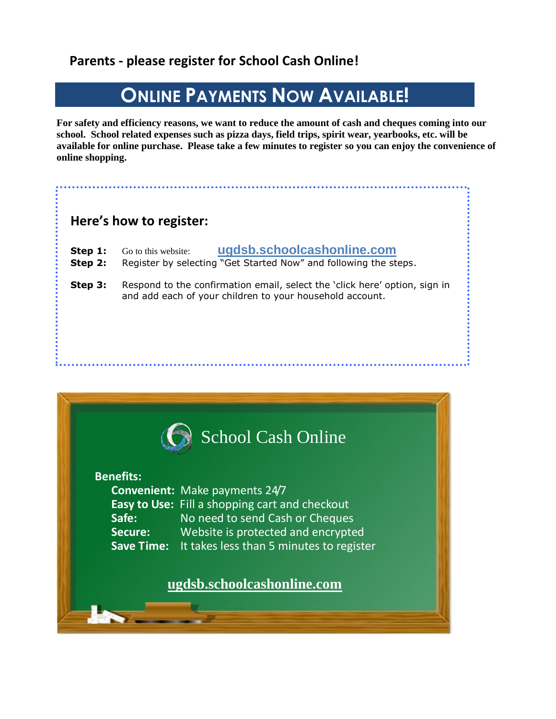# **Parents - please register for School Cash Online!**

# **ONLINE PAYMENTS NOW AVAILABLE!**

**For safety and efficiency reasons, we want to reduce the amount of cash and cheques coming into our school. School related expenses such as pizza days, field trips, spirit wear, yearbooks, etc. will be available for online purchase. Please take a few minutes to register so you can enjoy the convenience of online shopping.**

# **Here's how to register:**

| Step 1: | Go to this website: | ugdsb.schoolcashonline.com |
|---------|---------------------|----------------------------|
|---------|---------------------|----------------------------|

- **Step 2:** Register by selecting "Get Started Now" and following the steps.
- **Step 3:** Respond to the confirmation email, select the 'click here' option, sign in and add each of your children to your household account.

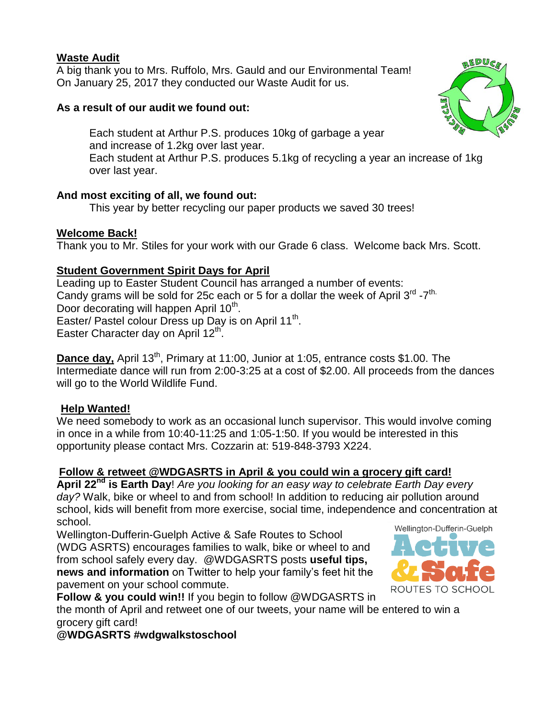#### **Waste Audit**

A big thank you to Mrs. Ruffolo, Mrs. Gauld and our Environmental Team! On January 25, 2017 they conducted our Waste Audit for us.

#### **As a result of our audit we found out:**

Each student at Arthur P.S. produces 10kg of garbage a year and increase of 1.2kg over last year. Each student at Arthur P.S. produces 5.1kg of recycling a year an increase of 1kg over last year.

#### **And most exciting of all, we found out:**

This year by better recycling our paper products we saved 30 trees!

#### **Welcome Back!**

Thank you to Mr. Stiles for your work with our Grade 6 class. Welcome back Mrs. Scott.

#### **Student Government Spirit Days for April**

Leading up to Easter Student Council has arranged a number of events: Candy grams will be sold for 25c each or 5 for a dollar the week of April  $3^{\text{rd}}$  -7<sup>th.</sup> Door decorating will happen April 10<sup>th</sup>. Easter/ Pastel colour Dress up Day is on April 11<sup>th</sup>. Easter Character day on April 12<sup>th</sup>.

**Dance day,** April 13<sup>th</sup>, Primary at 11:00, Junior at 1:05, entrance costs \$1.00. The Intermediate dance will run from 2:00-3:25 at a cost of \$2.00. All proceeds from the dances will go to the World Wildlife Fund.

#### **Help Wanted!**

We need somebody to work as an occasional lunch supervisor. This would involve coming in once in a while from 10:40-11:25 and 1:05-1:50. If you would be interested in this opportunity please contact Mrs. Cozzarin at: 519-848-3793 X224.

#### **Follow & retweet @WDGASRTS in April & you could win a grocery gift card!**

**April 22nd is Earth Day**! *Are you looking for an easy way to celebrate Earth Day every day?* Walk, bike or wheel to and from school! In addition to reducing air pollution around school, kids will benefit from more exercise, social time, independence and concentration at school.

Wellington-Dufferin-Guelph Active & Safe Routes to School (WDG ASRTS) encourages families to walk, bike or wheel to and from school safely every day. @WDGASRTS posts **useful tips, news and information** on Twitter to help your family's feet hit the pavement on your school commute.



**Follow & you could win!!** If you begin to follow @WDGASRTS in

the month of April and retweet one of our tweets, your name will be entered to win a grocery gift card!

#### **@WDGASRTS #wdgwalkstoschool**

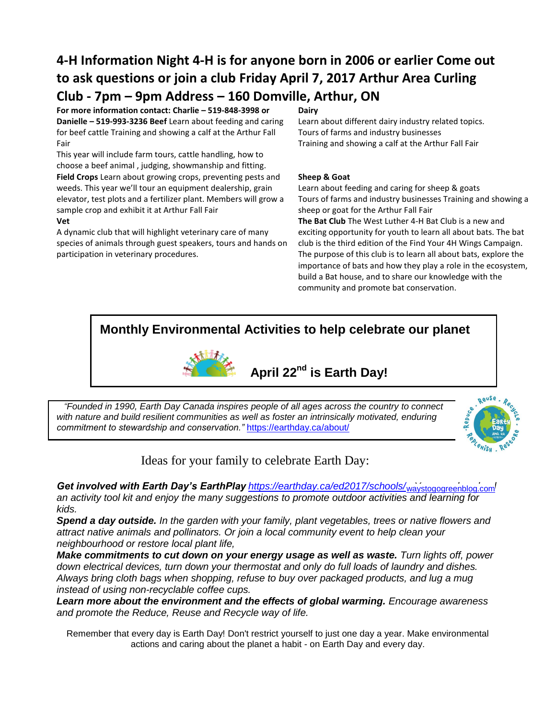# **4-H Information Night 4-H is for anyone born in 2006 or earlier Come out to ask questions or join a club Friday April 7, 2017 Arthur Area Curling Club - 7pm – 9pm Address – 160 Domville, Arthur, ON**

**For more information contact: Charlie – 519-848-3998 or Danielle – 519-993-3236 Beef** Learn about feeding and caring for beef cattle Training and showing a calf at the Arthur Fall Fair

This year will include farm tours, cattle handling, how to choose a beef animal , judging, showmanship and fitting. **Field Crops** Learn about growing crops, preventing pests and weeds. This year we'll tour an equipment dealership, grain elevator, test plots and a fertilizer plant. Members will grow a sample crop and exhibit it at Arthur Fall Fair

#### **Vet**

A dynamic club that will highlight veterinary care of many species of animals through guest speakers, tours and hands on participation in veterinary procedures.

#### **Dairy**

Learn about different dairy industry related topics. Tours of farms and industry businesses Training and showing a calf at the Arthur Fall Fair

#### **Sheep & Goat**

Learn about feeding and caring for sheep & goats Tours of farms and industry businesses Training and showing a sheep or goat for the Arthur Fall Fair **The Bat Club** The West Luther 4-H Bat Club is a new and exciting opportunity for youth to learn all about bats. The bat club is the third edition of the Find Your 4H Wings Campaign. The purpose of this club is to learn all about bats, explore the importance of bats and how they play a role in the ecosystem, build a Bat house, and to share our knowledge with the community and promote bat conservation.

### **Monthly Environmental Activities to help celebrate our planet**



# **April 22nd is Earth Day!**

*"Founded in 1990, Earth Day Canada inspires people of all ages across the country to connect*  with nature and build resilient communities as well as foster an intrinsically motivated, enduring *commitment to stewardship and conservation."* <https://earthday.ca/about/>



Ideas for your family to celebrate Earth Day:

Get involved with Earth Day's EarthPlay **<https://earthday.ca/ed2017/schools/>waystogogreenblog.com<sup>/</sup>** *an activity tool kit and enjoy the many suggestions to promote outdoor activities and learning for kids.*

*Spend a day outside. In the garden with your family, plant vegetables, trees or native flowers and attract native animals and pollinators. Or join a local community event to help clean your neighbourhood or restore local plant life,* 

*Make commitments to cut down on your energy usage as well as waste. Turn lights off, power down electrical devices, turn down your thermostat and only do full loads of laundry and dishes. Always bring cloth bags when shopping, refuse to buy over packaged products, and lug a mug instead of using non-recyclable coffee cups.*

**Learn more about the environment and the effects of global warming.** *Encourage awareness and promote the Reduce, Reuse and Recycle way of life.*

Remember that every day is Earth Day! Don't restrict yourself to just one day a year. Make environmental actions and caring about the planet a habit - on Earth Day and every day.